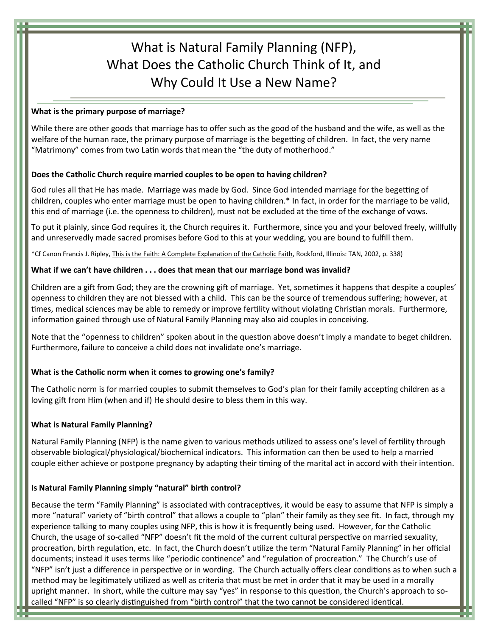# What is Natural Family Planning (NFP), What Does the Catholic Church Think of It, and Why Could It Use a New Name?

#### **What is the primary purpose of marriage?**

While there are other goods that marriage has to offer such as the good of the husband and the wife, as well as the welfare of the human race, the primary purpose of marriage is the begetting of children. In fact, the very name "Matrimony" comes from two Latin words that mean the "the duty of motherhood."

# **Does the Catholic Church require married couples to be open to having children?**

God rules all that He has made. Marriage was made by God. Since God intended marriage for the begetting of children, couples who enter marriage must be open to having children.\* In fact, in order for the marriage to be valid, this end of marriage (i.e. the openness to children), must not be excluded at the time of the exchange of vows.

To put it plainly, since God requires it, the Church requires it. Furthermore, since you and your beloved freely, willfully and unreservedly made sacred promises before God to this at your wedding, you are bound to fulfill them.

\*Cf Canon Francis J. Ripley, This is the Faith: A Complete Explanation of the Catholic Faith, Rockford, Illinois: TAN, 2002, p. 338)

### **What if we can't have children . . . does that mean that our marriage bond was invalid?**

Children are a gift from God; they are the crowning gift of marriage. Yet, sometimes it happens that despite a couples' openness to children they are not blessed with a child. This can be the source of tremendous suffering; however, at times, medical sciences may be able to remedy or improve fertility without violating Christian morals. Furthermore, information gained through use of Natural Family Planning may also aid couples in conceiving.

Note that the "openness to children" spoken about in the question above doesn't imply a mandate to beget children. Furthermore, failure to conceive a child does not invalidate one's marriage.

### **What is the Catholic norm when it comes to growing one's family?**

The Catholic norm is for married couples to submit themselves to God's plan for their family accepting children as a loving gift from Him (when and if) He should desire to bless them in this way.

### **What is Natural Family Planning?**

Natural Family Planning (NFP) is the name given to various methods utilized to assess one's level of fertility through observable biological/physiological/biochemical indicators. This information can then be used to help a married couple either achieve or postpone pregnancy by adapting their timing of the marital act in accord with their intention.

## **Is Natural Family Planning simply "natural" birth control?**

Because the term "Family Planning" is associated with contraceptives, it would be easy to assume that NFP is simply a more "natural" variety of "birth control" that allows a couple to "plan" their family as they see fit. In fact, through my experience talking to many couples using NFP, this is how it is frequently being used. However, for the Catholic Church, the usage of so-called "NFP" doesn't fit the mold of the current cultural perspective on married sexuality, procreation, birth regulation, etc. In fact, the Church doesn't utilize the term "Natural Family Planning" in her official documents; instead it uses terms like "periodic continence" and "regulation of procreation." The Church's use of "NFP" isn't just a difference in perspective or in wording. The Church actually offers clear conditions as to when such a method may be legitimately utilized as well as criteria that must be met in order that it may be used in a morally upright manner. In short, while the culture may say "yes" in response to this question, the Church's approach to socalled "NFP" is so clearly distinguished from "birth control" that the two cannot be considered identical.